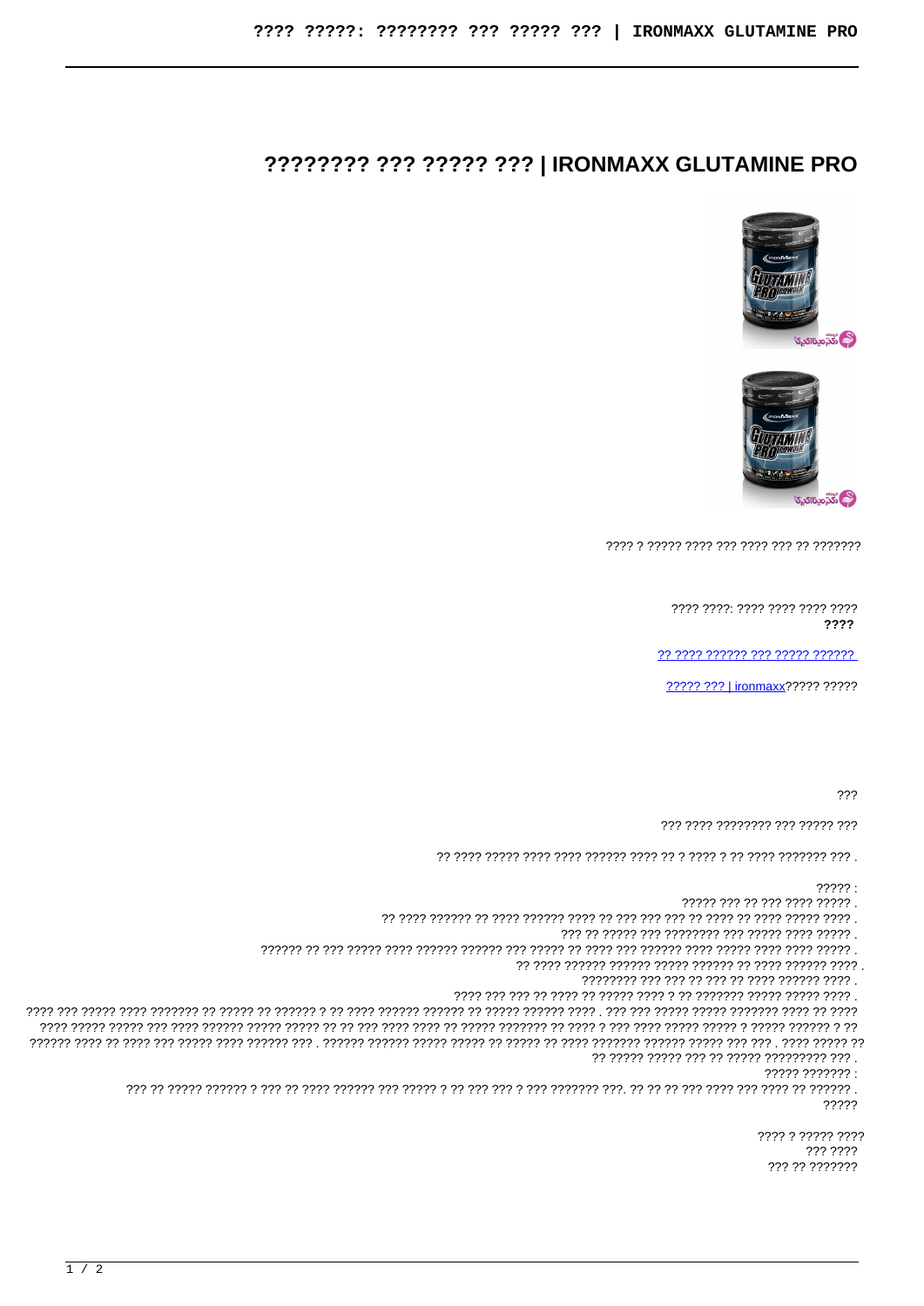## ???????? ??? ????? ??? | IRONMAXX GLUTAMINE PRO





???? ????: ???? ???? ???? ???? 2222

????? ??? | ironmaxx????? ?????

 $222$ 

777 7777 77777777 777 77777 777

 $??\,?\,?$ :

????? ??? ?? ??? ???? ????? .

?? ????? ????? ??? ?? ????? ????????? ??? .  $7777777777?$ 

77777

> ???? ? ????? ???? 222 2222 777 77 7777777